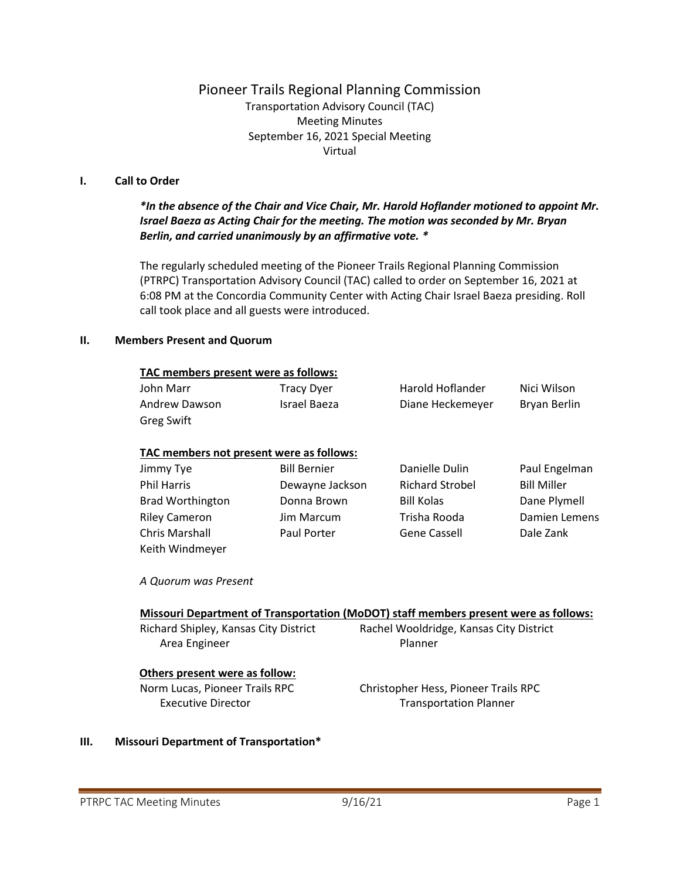# Pioneer Trails Regional Planning Commission

Transportation Advisory Council (TAC) Meeting Minutes September 16, 2021 Special Meeting Virtual

#### **I. Call to Order**

# *\*In the absence of the Chair and Vice Chair, Mr. Harold Hoflander motioned to appoint Mr. Israel Baeza as Acting Chair for the meeting. The motion was seconded by Mr. Bryan Berlin, and carried unanimously by an affirmative vote. \**

The regularly scheduled meeting of the Pioneer Trails Regional Planning Commission (PTRPC) Transportation Advisory Council (TAC) called to order on September 16, 2021 at 6:08 PM at the Concordia Community Center with Acting Chair Israel Baeza presiding. Roll call took place and all guests were introduced.

#### **II. Members Present and Quorum**

| TAC members present were as follows: |                   |                  |              |  |
|--------------------------------------|-------------------|------------------|--------------|--|
| John Marr                            | <b>Tracy Dyer</b> | Harold Hoflander | Nici Wilson  |  |
| Andrew Dawson                        | Israel Baeza      | Diane Heckemeyer | Bryan Berlin |  |
| <b>Greg Swift</b>                    |                   |                  |              |  |

#### **TAC members not present were as follows:**

| Jimmy Tye               | <b>Bill Bernier</b> | Danielle Dulin         | Paul Engelman      |
|-------------------------|---------------------|------------------------|--------------------|
| <b>Phil Harris</b>      | Dewayne Jackson     | <b>Richard Strobel</b> | <b>Bill Miller</b> |
| <b>Brad Worthington</b> | Donna Brown         | <b>Bill Kolas</b>      | Dane Plymell       |
| <b>Riley Cameron</b>    | <b>Jim Marcum</b>   | Trisha Rooda           | Damien Lemens      |
| <b>Chris Marshall</b>   | Paul Porter         | <b>Gene Cassell</b>    | Dale Zank          |
| Keith Windmeyer         |                     |                        |                    |

*A Quorum was Present*

### **Missouri Department of Transportation (MoDOT) staff members present were as follows:**

Area Engineer **Planner** Planner

Richard Shipley, Kansas City District Rachel Wooldridge, Kansas City District

### **Others present were as follow:**

Norm Lucas, Pioneer Trails RPC Christopher Hess, Pioneer Trails RPC Executive Director **Transportation Planner** 

### **III. Missouri Department of Transportation\***